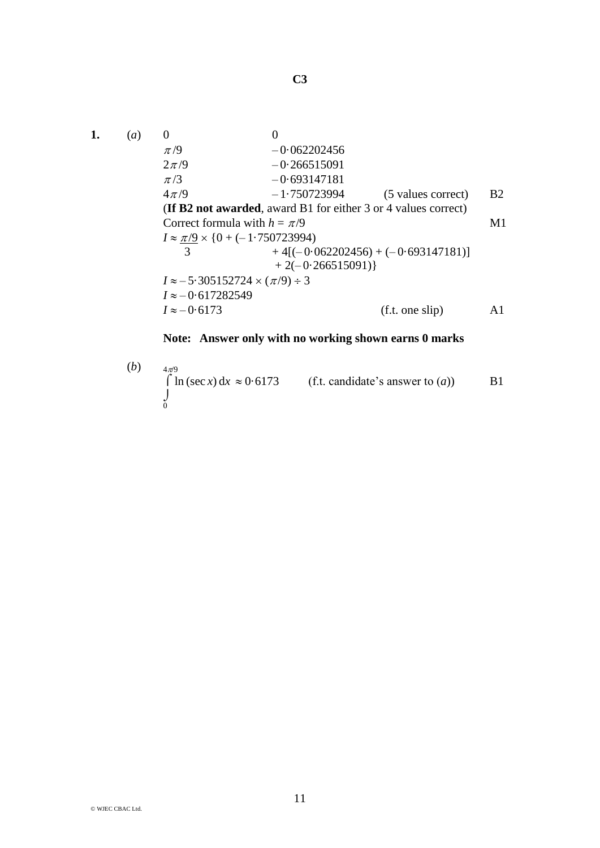**C3**

1. (a) 0  
\n
$$
\pi/9
$$
 -0.062202456  
\n $2\pi/9$  -0.266515091  
\n $\pi/3$  -0.693147181  
\n $4\pi/9$  -1.750723994 (5 values correct) B2  
\n(If B2 not awarded, award B1 for either 3 or 4 values correct)  
\nCorrect formula with  $h = \pi/9$  M1  
\n $I \approx \frac{\pi}{9} \times \{0 + (-1.750723994)$   
\n $+ 4[(-0.062202456) + (-0.693147181)]$   
\n $+ 2(-0.266515091)$ }  
\n $I \approx -5.305152724 \times (\pi/9) \div 3$   
\n $I \approx -0.617282549$  (f.t. one slip) A1

**Note: Answer only with no working shown earns 0 marks**

 $(b)$   $4\pi9$  $\int \ln (\sec x) dx \approx 0.6173$  (f.t. candidate's answer to (*a*)) B1  $\int\limits_{0}$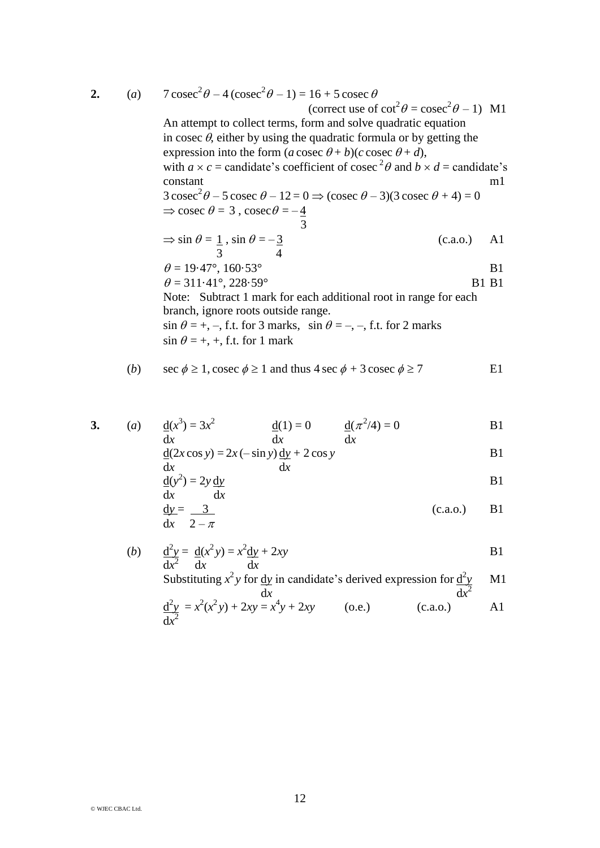**2.**  $(a)$ 

7 cosec<sup>2</sup> 
$$
\theta
$$
 - 4 (cosec<sup>2</sup>  $\theta$  - 1) = 16 + 5 cosec  $\theta$   
\n(correct use of cot<sup>2</sup>  $\theta$  = cosec<sup>2</sup>  $\theta$  - 1) M1  
\nAn attempt to collect terms, form and solve quadratic equation  
\nin cosec  $\theta$ , either by using the quadratic formula or by getting the  
\nexpression into the form (*a* cosec  $\theta$  + *b*)(*c* cosec  $\theta$  + *d*),  
\nwith  $a \times c$  = candidate's coefficient of cosec<sup>2</sup>  $\theta$  and  $b \times d$  = candidate's  
\nconstant  
\n3 cosec<sup>2</sup>  $\theta$  - 5 cosec  $\theta$  - 12 = 0  $\Rightarrow$  (cosec  $\theta$  - 3)(3 cosec  $\theta$  + 4) = 0  
\n $\Rightarrow$  cosec  $\theta$  = 3, cosec  $\theta$  = - $\frac{4}{3}$   
\n $\Rightarrow$  sin  $\theta$  =  $\frac{1}{3}$ , sin  $\theta$  = - $\frac{3}{3}$   
\n $\Rightarrow$  4  
\n $\theta$  = 19.47°, 160.53°  
\n $\theta$  = 311.41°, 228.59°  
\nNote: Subtract 1 mark for each additional root in range for each  
\nbranch, ignore roots outside range.  
\nsin  $\theta$  = +, –, f.t. for 3 marks, sin  $\theta$  = –, –, f.t. for 2 marks  
\nsin  $\theta$  = +, +, f.t. for 1 mark  
\nsee  $\phi$  > 1, each value of 1200000 $\phi$  > 7

(b) 
$$
\sec \phi \ge 1
$$
,  $\csc \phi \ge 1$  and thus  $4 \sec \phi + 3 \csc \phi \ge 7$  E1

3. (a) 
$$
\frac{d(x^3)}{dx} = 3x^2
$$
  $\frac{d(1)}{dx} = 0$   $\frac{d(\pi^2/4)}{dx} = 0$  B1

$$
\frac{d(2x \cos y) = 2x (-\sin y) \frac{dy}{dx} + 2 \cos y
$$
 B1

$$
\frac{d(y^2)}{dx} = 2y \frac{dy}{dx}
$$

$$
\frac{dy}{dx} = \frac{3}{2 - \pi}
$$
 (c.a.o.) B1

(b) 
$$
\frac{d^2y}{dx^2} = \frac{d(x^2y)}{dx} = x^2\frac{dy}{dx} + 2xy
$$
 B1

Substituting 
$$
x^2 y
$$
 for dy in candidate's derived expression for  $\frac{d^2y}{dx^2}$  M1  
\n
$$
\frac{d^2y}{dx^2} = x^2(x^2y) + 2xy = x^4y + 2xy
$$
\n(o.e.)\n  
\n(c.a.o.)\n  
\nA1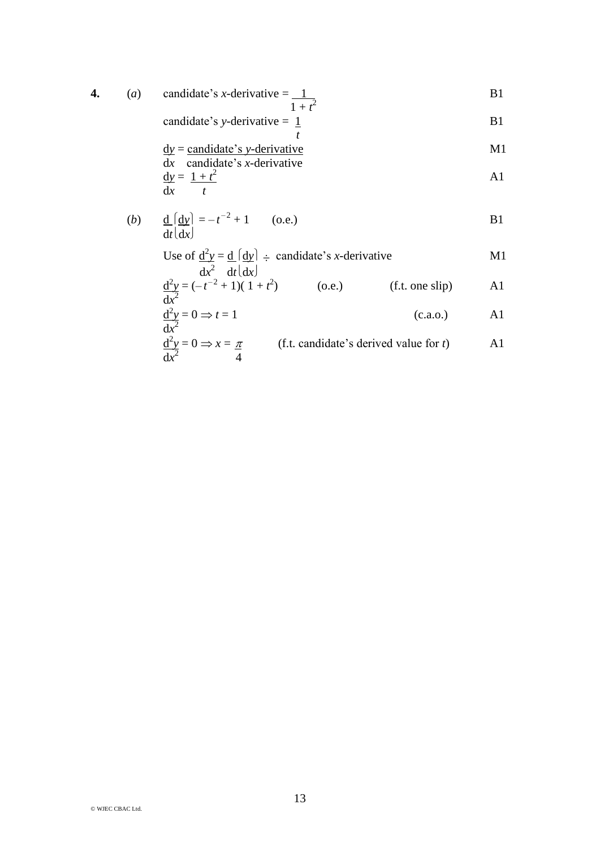4. (a) candidate's *x*-derivative = 
$$
\frac{1}{1+t^2}
$$
 B1

candidate's y-derivative = 
$$
\frac{1}{t}
$$
 B1

$$
\frac{dy}{dx} = \frac{\text{candidate's } y\text{-derivative}}{\text{candidate's } x\text{-derivative}} \quad \text{M1}
$$
\n
$$
\frac{dy}{dx} = \frac{1+t^2}{t} \quad \text{A1}
$$

(b) 
$$
\frac{d}{dt} \left[ \frac{dy}{dx} \right] = -t^{-2} + 1
$$
 (o.e.) B1

Use of 
$$
\frac{d^2y}{dx^2} = \frac{d}{dt} \left( \frac{dy}{dx} \right) \div
$$
 candidate's *x*-derivative  
M1

$$
\frac{d^2y}{dx^2} = (-t^{-2} + 1)(1 + t^2)
$$
 (o.e.) (f.t. one slip) A1

$$
\frac{d^2y}{dx^2} = 0 \Rightarrow t = 1
$$
 (c.a.o.) A1

$$
\frac{d^2y}{dx^2} = 0 \Rightarrow x = \frac{\pi}{4}
$$
 (f.t. candidate's derived value for *t*) A1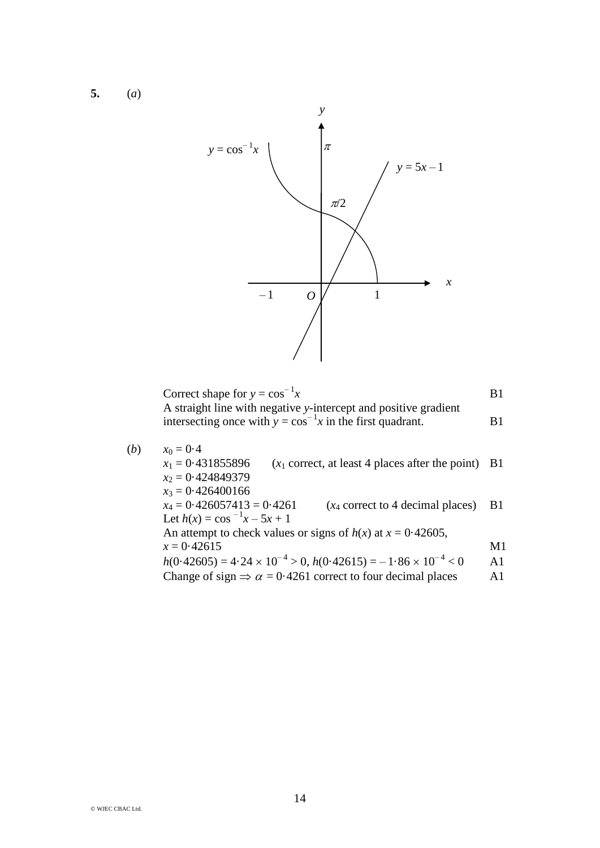**5.** (*a*)



Correct shape for  $y = cos^{-1}x$  B1 A straight line with negative *y*-intercept and positive gradient intersecting once with  $y = cos^{-1}x$  in the first quadrant. B1

(b) 
$$
x_0 = 0.4
$$
  
\n $x_1 = 0.431855896$   $(x_1 \text{ correct, at least 4 places after the point})$  B1  
\n $x_2 = 0.424849379$   
\n $x_3 = 0.426400166$   
\n $x_4 = 0.426057413 = 0.4261$   $(x_4 \text{ correct to 4 decimal places})$  B1  
\nLet  $h(x) = \cos^{-1}x - 5x + 1$   
\nAn attempt to check values or signs of  $h(x)$  at  $x = 0.42605$ ,  
\n $x = 0.42615$  M1  
\n $h(0.42605) = 4.24 \times 10^{-4} > 0$ ,  $h(0.42615) = -1.86 \times 10^{-4} < 0$  A1  
\nChange of sign  $\Rightarrow \alpha = 0.4261$  correct to four decimal places A1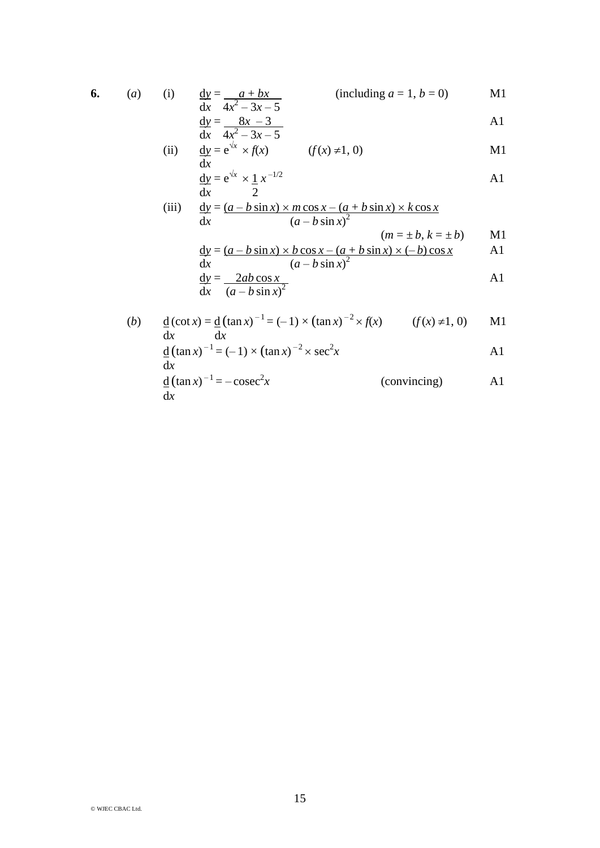6. (a) (i) 
$$
\frac{dy}{dx} = \frac{a + bx}{a^2 + bx}
$$
 (including  $a = 1, b = 0$ ) M1

$$
\frac{dx}{dx} = \frac{4x^2 - 3x - 5}{4x^2 - 3x - 5}
$$

(ii) 
$$
\frac{dy}{dx} = e^{\sqrt{x}} \times f(x) \qquad (f(x) \neq 1, 0)
$$

$$
\frac{dy}{dx} = e^{\sqrt{x}} \times \frac{1}{2} x^{-1/2}
$$
  
(iii) 
$$
\frac{dy}{dx} = \frac{(a - b\sin x) \times m\cos x - (a + b\sin x) \times k\cos x}{(a - b\sin x)^2}
$$

dx 
$$
(a - b \sin x)^2
$$
  
\n $(m = \pm b, k = \pm b)$  M1  
\n $\underline{dy} = (a - b \sin x) \times b \cos x - (a + b \sin x) \times (-b) \cos x$  A1

$$
\frac{dx}{dy} = \frac{(a - b\sin x)^2}{\frac{(a - b\sin x)^2}{2}}
$$

$$
\frac{d}{dx} \left( a - b \sin x \right)^2
$$

(b) 
$$
\underline{d}(\cot x) = \underline{d}(\tan x)^{-1} = (-1) \times (\tan x)^{-2} \times f(x)
$$
 (f(x) \ne 1, 0) M1  
\n $\frac{dx}{dx}$   
\n $\underline{d}(\tan x)^{-1} = (-1) \times (\tan x)^{-2} \times \sec^2 x$   
\n $\frac{d}{dx}(\tan x)^{-1} = -\csc^2 x$  (convincing) A1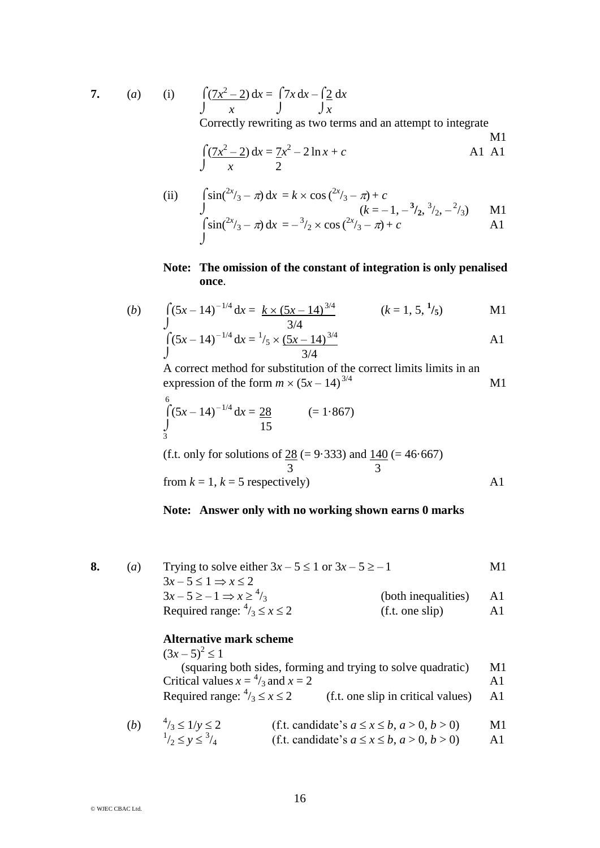$$
7. \qquad (a) \qquad (i)
$$

$$
\int \frac{7x^2 - 2}{x} dx = \int \frac{7x}{x} dx - \int \frac{2}{x} dx
$$

Correctly rewriting as two terms and an attempt to integrate

$$
\int \frac{7x^2 - 2}{x} dx = \frac{7x^2 - 2\ln x + c}{2}
$$
 A1 A1

(ii) 
$$
\int \sin\left(\frac{2x}{3} - \pi\right) dx = k \times \cos\left(\frac{2x}{3} - \pi\right) + c
$$
  
\n
$$
\int (k = -1, -\frac{3}{2}, \frac{3}{2}, -\frac{2}{3})
$$
 M1  
\n
$$
\int \sin\left(\frac{2x}{3} - \pi\right) dx = -\frac{3}{2} \times \cos\left(\frac{2x}{3} - \pi\right) + c
$$
 A1

## **Note: The omission of the constant of integration is only penalised once**.

(b) 
$$
\int (5x-14)^{-1/4} dx = \frac{k \times (5x-14)^{3/4}}{3/4}
$$
  $(k = 1, 5, \frac{1}{5})$  M1

$$
\int_{0}^{3} (5x - 14)^{-1/4} dx = \frac{1}{5} \times \frac{(5x - 14)^{3/4}}{3/4}
$$

A correct method for substitution of the correct limits limits in an expression of the form  $m \times (5x - 14)^{3/4}$  $3/4$  M1

$$
\int_{\frac{3}{3}}^{6} (5x - 14)^{-1/4} dx = \frac{28}{15}
$$
 ( = 1.867)

(f.t. only for solutions of  $28 (= 9.333)$  and  $140 (= 46.667)$ ) 3 3 from  $k = 1$ ,  $k = 5$  respectively) A1

## **Note: Answer only with no working shown earns 0 marks**

| $\left( a\right)$ | Trying to solve either $3x - 5 \le 1$ or $3x - 5 \ge -1$ |                     | M1. |
|-------------------|----------------------------------------------------------|---------------------|-----|
|                   | $3x-5 \leq 1 \Rightarrow x \leq 2$                       |                     |     |
|                   | $3x-5\geq -1 \Rightarrow x\geq 4/3$                      | (both inequalities) | Al  |
|                   | Required range: $\frac{4}{3} \le x \le 2$                | (f.t. one slip)     | Al  |
|                   |                                                          |                     |     |

## **Alternative mark scheme**

| $(3x-5)^2 \leq 1$                                            |                                    |     |
|--------------------------------------------------------------|------------------------------------|-----|
| (squaring both sides, forming and trying to solve quadratic) |                                    | M1  |
| Critical values $x = \frac{4}{3}$ and $x = 2$                |                                    | A 1 |
| Required range: $\frac{4}{3} \le x \le 2$                    | (f.t. one slip in critical values) | A1  |
|                                                              |                                    |     |

(b) 
$$
{}^{4}/_{3} \le 1/y \le 2
$$
  
\n ${}^{1}/_{2} \le y \le {}^{3}/_{4}$   
\n(f.t. candidate's  $a \le x \le b, a > 0, b > 0$ )  
\n(f.t. candidate's  $a \le x \le b, a > 0, b > 0$ )  
\nA1